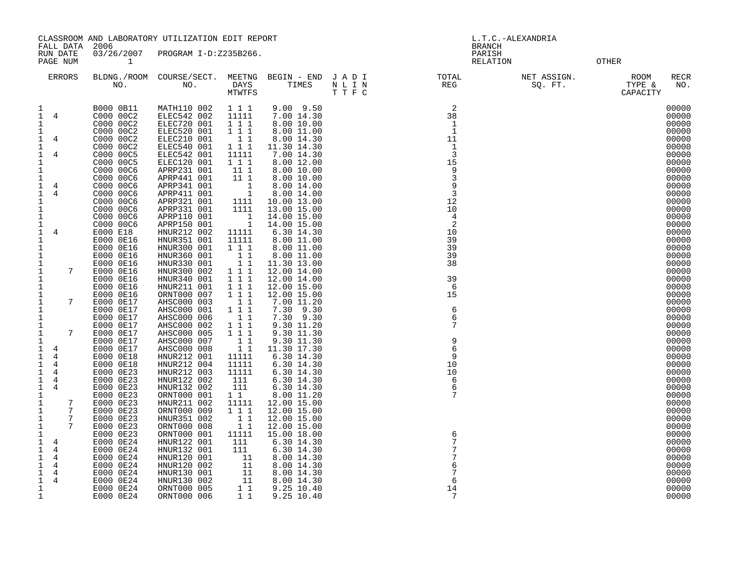CLASSROOM AND LABORATORY UTILIZATION EDIT REPORT AND REPORT AND RESOLUTION OF L.T.C.-ALEXANDRIA

 FALL DATA 2006 BRANCH RUN DATE 03/26/2007 PROGRAM I-D:Z235B266. PARISH

PAGE NUM 1 RELATION OTHER

| 7GF. MOM |                    |                     |                |                           |         | <b>KELATION</b>     |                          | OTHEK               |                    |
|----------|--------------------|---------------------|----------------|---------------------------|---------|---------------------|--------------------------|---------------------|--------------------|
| ERRORS   | BLDNG./ROOM<br>NO. | COURSE/SECT.<br>NO. | MEETNG<br>DAYS | BEGIN - END JADI<br>TIMES | NT.     | TOTAL<br><b>REG</b> | NET ASSIGN.<br>SO<br>FT. | <b>ROOM</b><br>TYPE | <b>RECR</b><br>NO. |
|          |                    |                     | MTWTFS         |                           | T T F C |                     |                          | CAPACITY            |                    |

| DAYS   | TIMES | NLIN    | <b>REG</b> | SQ. FT<br>. | TYPE &   |
|--------|-------|---------|------------|-------------|----------|
| MTWTFS |       | T T F C |            |             | CAPACITY |

|  | C000 00C2 | ELEC542 002 | 11111         | 7.00 14.30  | 38 | 00000 |
|--|-----------|-------------|---------------|-------------|----|-------|
|  | C000 00C2 | ELEC720 001 | 111           | 8.00 10.00  |    | 00000 |
|  | C000 00C2 | ELEC520 001 | 111           | 8.00 11.00  |    | 00000 |
|  | C000 00C2 | ELEC210 001 |               | 8.00 14.30  |    | 00000 |
|  | C000 00C2 | ELEC540 001 | 11            | 11.30 14.30 |    | 00000 |
|  | C000 00C5 | ELEC542 001 | 11111         | 7.00 14.30  |    | 00000 |
|  | C000 00C5 | ELEC120 001 | $1 \; 1 \; 1$ | 8.00 12.00  |    | 00000 |
|  | C000 00C6 | APRP231 001 | 11 1          | 8.00 10.00  |    | 00000 |
|  | C000 00C6 | APRP441 001 | 11 1          | 8.00 10.00  |    | 00000 |
|  | C000 00C6 | APRP341 001 |               | 8.00 14.00  |    | 00000 |
|  | C000 00C6 | APRP411 001 |               | 8.00 14.00  |    | 00000 |
|  | C000 00C6 | APRP321 001 | 1111          | 10.00 13.00 |    | 00000 |
|  | C000 00C6 | APRP331 001 |               | 13.00 15.00 |    | 00000 |

1 B000 0B11 MATH110 002 1 1 1 9.00 9.50 2 00000

| 1                         |                |   | C000 00C2 | ELEC720 001 | 111          | 8.00 10.00  |                | 00000 |
|---------------------------|----------------|---|-----------|-------------|--------------|-------------|----------------|-------|
| 1                         |                |   | C000 00C2 | ELEC520 001 | 111          | 8.00 11.00  |                | 00000 |
| 1                         | 4              |   | C000 00C2 | ELEC210 001 | $1\quad1$    | 8.00 14.30  | 11             | 00000 |
| 1                         |                |   | C000 00C2 | ELEC540 001 | 111          | 11.30 14.30 | 1              | 00000 |
| 1                         | 4              |   | C000 00C5 | ELEC542 001 | 11111        | 7.00 14.30  | $\overline{3}$ | 00000 |
| $1\,$                     |                |   | C000 00C5 | ELEC120 001 | 1 1 1        | 8.00 12.00  | 15             | 00000 |
| 1                         |                |   | C000 00C6 | APRP231 001 | 11 1         | 8.00 10.00  | 9              | 00000 |
| 1                         |                |   | C000 00C6 | APRP441 001 | 111          | 8.00 10.00  | 3              | 00000 |
|                           | 4              |   | C000 00C6 | APRP341 001 | 1            | 8.00 14.00  | 9              | 00000 |
| $\frac{1}{1}$             | $\overline{4}$ |   | C000 00C6 | APRP411 001 | $\mathbf{1}$ | 8.00 14.00  | 3              | 00000 |
| 1                         |                |   | C000 00C6 | APRP321 001 | 1111         | 10.00 13.00 | 12             | 00000 |
| 1                         |                |   | C000 00C6 | APRP331 001 | 1111         | 13.00 15.00 | 10             | 00000 |
| 1                         |                |   | C000 00C6 | APRP110 001 | 1            | 14.00 15.00 | 4              | 00000 |
| $\mathbf 1$               |                |   | C000 00C6 | APRP150 001 | $\mathbf{1}$ | 14.00 15.00 | 2              | 00000 |
| $\ensuremath{\mathsf{1}}$ | 4              |   | E000 E18  | HNUR212 002 | 11111        | 6.30 14.30  | 10             | 00000 |
| $\mathbf 1$               |                |   | E000 0E16 | HNUR351 001 | 11111        | 8.00 11.00  | 39             | 00000 |
| 1                         |                |   | E000 0E16 | HNUR300 001 | 111          | 8.00 11.00  | 39             | 00000 |
| $\mathbf 1$               |                |   | E000 0E16 | HNUR360 001 | 11           | 8.00 11.00  | 39             | 00000 |
| $\mathbf 1$               |                |   | E000 0E16 | HNUR330 001 | 11           | 11.30 13.00 | 38             | 00000 |
| $\mathbf{1}$              |                | 7 | E000 0E16 | HNUR300 002 | 1 1 1        | 12.00 14.00 |                | 00000 |
| $\mathbf{1}$              |                |   | E000 0E16 | HNUR340 001 | 1 1 1        | 12.00 14.00 | 39             | 00000 |
| $\mathbf{1}$              |                |   | E000 0E16 | HNUR211 001 | 1 1 1        | 12.00 15.00 | 6              | 00000 |
| $\mathbf 1$               |                |   | E000 0E16 | ORNT000 007 | 111          | 12.00 15.00 | 15             | 00000 |
| $\mathbf{1}$              |                | 7 | E000 0E17 | AHSC000 003 | 11           | 7.00 11.20  |                | 00000 |
| $\mathbf{1}$              |                |   | E000 0E17 | AHSC000 001 | 111          | 7.30 9.30   | 6              | 00000 |
| $\mathbf 1$               |                |   | E000 0E17 | AHSC000 006 | 1 1          | 7.30 9.30   | $\epsilon$     | 00000 |
| 1                         |                |   | E000 0E17 | AHSC000 002 | 111          | 9.30 11.20  | 7              | 00000 |
| 1                         |                | 7 | E000 0E17 | AHSC000 005 | 1 1 1        | 9.30 11.30  |                | 00000 |
| 1                         |                |   | E000 0E17 | AHSC000 007 | 11           | 9.30 11.30  | 9              | 00000 |
| 1                         | 4              |   | E000 0E17 | AHSC000 008 | 11           | 11.30 17.30 | 6              | 00000 |
| 1                         | 4              |   | E000 0E18 | HNUR212 001 | 11111        | 6.30 14.30  | 9              | 00000 |
| 1                         | 4              |   | E000 0E18 | HNUR212 004 | 11111        | 6.30 14.30  | 10             | 00000 |
| $\mathbf{1}$              | 4              |   | E000 0E23 | HNUR212 003 | 11111        | 6.30 14.30  | 10             | 00000 |
| 1                         | 4              |   | E000 0E23 | HNUR122 002 | 111          | 6.30 14.30  | 6              | 00000 |
| $\mathbf 1$               | 4              |   | E000 0E23 | HNUR132 002 | 111          | 6.30 14.30  | 6              | 00000 |
| 1                         |                |   | E000 0E23 | ORNT000 001 | $1\quad1$    | 8.00 11.20  | 7              | 00000 |
| 1                         |                | 7 | E000 0E23 | HNUR211 002 | 11111        | 12.00 15.00 |                | 00000 |
| 1                         |                | 7 | E000 0E23 | ORNT000 009 | 111          | 12.00 15.00 |                | 00000 |
| $\mathbf{1}$              |                | 7 | E000 0E23 | HNUR351 002 | 1 1          | 12.00 15.00 |                | 00000 |
| 1                         |                | 7 | E000 0E23 | ORNT000 008 | 1 1          | 12.00 15.00 |                | 00000 |
| 1                         |                |   | E000 0E23 | ORNT000 001 | 11111        | 15.00 18.00 | 6              | 00000 |
| 1                         | 4              |   | E000 0E24 | HNUR122 001 | 111          | 6.30 14.30  | 7              | 00000 |
| 1                         | 4              |   | E000 0E24 | HNUR132 001 | 111          | 6.30 14.30  | 7              | 00000 |
| 1                         | 4              |   | E000 0E24 | HNUR120 001 | 11           | 8.00 14.30  |                | 00000 |
| 1                         | 4              |   | E000 0E24 | HNUR120 002 | 11           | 8.00 14.30  | 6              | 00000 |
| 1                         | 4              |   | E000 0E24 | HNUR130 001 | 11           | 8.00 14.30  |                | 00000 |
| $\mathbf 1$               | 4              |   | E000 0E24 | HNUR130 002 | 11           | 8.00 14.30  | 6              | 00000 |
| $\mathbf{1}$              |                |   | E000 0E24 | ORNT000 005 | 11           | 9.25 10.40  | 14             | 00000 |
| 1                         |                |   | E000 0E24 | ORNT000 006 | $1\quad1$    | 9.25 10.40  | 7              | 00000 |

|  |    | 0000          |
|--|----|---------------|
|  |    | 0000          |
|  |    | 0000          |
|  |    | 0000          |
|  |    | 0000          |
|  |    | 0000          |
|  |    | 0000          |
|  |    |               |
|  |    | 0000          |
|  |    | 0000          |
|  |    | 0000          |
|  |    | 0000          |
|  |    | 0000          |
|  |    | 0000          |
|  |    | 0000          |
|  |    | 0000          |
|  |    | 0000          |
|  |    | 0000          |
|  |    |               |
|  |    | 0000          |
|  |    | 0000          |
|  |    | 0000          |
|  |    | 0000          |
|  |    | 0000          |
|  |    | 0000          |
|  |    | 0000          |
|  | ∩∩ | $\cap$ $\cap$ |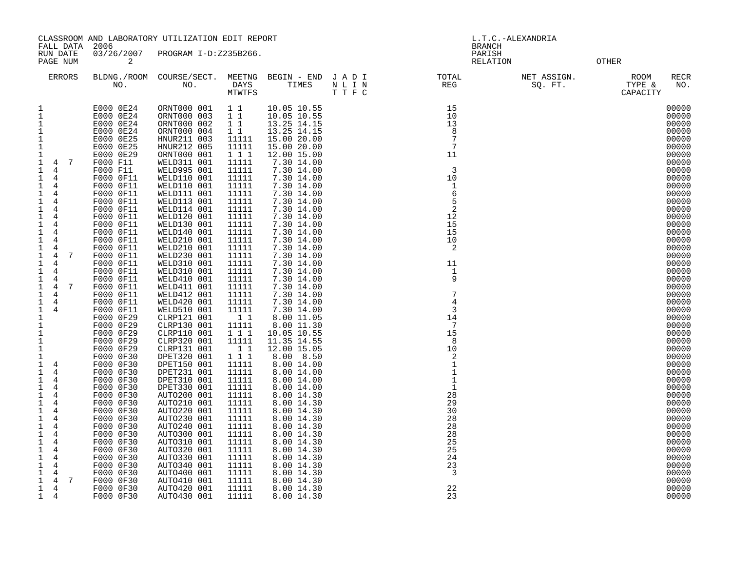| CLASSROOM AND LABORATORY UTILIZATION EDIT REPORT                                                                                                                                                                                                                                                                                                                                                                                                                                                                                                                                                                                                                                                                                                                                                                                                                                                                                                                                                                                   |                                                                                                                                                                                                                                                                                                                                                                                                                                                                                                                                                                                                                                                                      |                                                                                                                                                                                                                                                                                                                                                                                                                                                                                                                                                                                                                                                                                                                                                                            |                                                                                                                                                                                                                                                                                                                                                                                                                                                                 |                                                                                                                                                                                                                                                                                                                                                                                                                                                                                                                                                                                                                                                                                                                                   | L.T.C.-ALEXANDRIA                                                                                                           |  |                                                          |                                                                                                                                                                                                                                                                                                                                                                                                                                                                |
|------------------------------------------------------------------------------------------------------------------------------------------------------------------------------------------------------------------------------------------------------------------------------------------------------------------------------------------------------------------------------------------------------------------------------------------------------------------------------------------------------------------------------------------------------------------------------------------------------------------------------------------------------------------------------------------------------------------------------------------------------------------------------------------------------------------------------------------------------------------------------------------------------------------------------------------------------------------------------------------------------------------------------------|----------------------------------------------------------------------------------------------------------------------------------------------------------------------------------------------------------------------------------------------------------------------------------------------------------------------------------------------------------------------------------------------------------------------------------------------------------------------------------------------------------------------------------------------------------------------------------------------------------------------------------------------------------------------|----------------------------------------------------------------------------------------------------------------------------------------------------------------------------------------------------------------------------------------------------------------------------------------------------------------------------------------------------------------------------------------------------------------------------------------------------------------------------------------------------------------------------------------------------------------------------------------------------------------------------------------------------------------------------------------------------------------------------------------------------------------------------|-----------------------------------------------------------------------------------------------------------------------------------------------------------------------------------------------------------------------------------------------------------------------------------------------------------------------------------------------------------------------------------------------------------------------------------------------------------------|-----------------------------------------------------------------------------------------------------------------------------------------------------------------------------------------------------------------------------------------------------------------------------------------------------------------------------------------------------------------------------------------------------------------------------------------------------------------------------------------------------------------------------------------------------------------------------------------------------------------------------------------------------------------------------------------------------------------------------------|-----------------------------------------------------------------------------------------------------------------------------|--|----------------------------------------------------------|----------------------------------------------------------------------------------------------------------------------------------------------------------------------------------------------------------------------------------------------------------------------------------------------------------------------------------------------------------------------------------------------------------------------------------------------------------------|
| FALL DATA<br>RUN DATE<br>PAGE NUM                                                                                                                                                                                                                                                                                                                                                                                                                                                                                                                                                                                                                                                                                                                                                                                                                                                                                                                                                                                                  | 2006<br>2                                                                                                                                                                                                                                                                                                                                                                                                                                                                                                                                                                                                                                                            | 03/26/2007 PROGRAM I-D:Z235B266.                                                                                                                                                                                                                                                                                                                                                                                                                                                                                                                                                                                                                                                                                                                                           |                                                                                                                                                                                                                                                                                                                                                                                                                                                                 |                                                                                                                                                                                                                                                                                                                                                                                                                                                                                                                                                                                                                                                                                                                                   |                                                                                                                             |  | <b>BRANCH</b><br>PARISH<br><b>OTHER</b><br>RELATION      |                                                                                                                                                                                                                                                                                                                                                                                                                                                                |
| <b>ERRORS</b>                                                                                                                                                                                                                                                                                                                                                                                                                                                                                                                                                                                                                                                                                                                                                                                                                                                                                                                                                                                                                      |                                                                                                                                                                                                                                                                                                                                                                                                                                                                                                                                                                                                                                                                      |                                                                                                                                                                                                                                                                                                                                                                                                                                                                                                                                                                                                                                                                                                                                                                            |                                                                                                                                                                                                                                                                                                                                                                                                                                                                 |                                                                                                                                                                                                                                                                                                                                                                                                                                                                                                                                                                                                                                                                                                                                   | 2<br>BLDNG./ROOM COURSE/SECT. MEETNG BEGIN - END JADI (TOTAL TOTAL NO. ) DAYS TIMES NLIN REG<br>NO. MO. MOWTWTFS TIMES TTFC |  | NET ASSIGN.<br>NET ASSIGN.<br>SQ. FT. TYPE &<br>CAPACITY | ROOM<br>RECR<br>NO.                                                                                                                                                                                                                                                                                                                                                                                                                                            |
| 1<br>$\mathbf 1$<br>$\mathbf{1}$<br>$\mathbf 1$<br>$\mathbf 1$<br>$\,1\,$<br>$\mathbf{1}$<br>$\overline{7}$<br>$\mathbf{1}$<br>4<br>$\mathbf{1}$<br>4<br>$\mathbf{1}$<br>4<br>$\mathbf{1}$<br>4<br>$\mathbf 1$<br>$\overline{4}$<br>1<br>4<br>1<br>4<br>$\mathbf{1}$<br>4<br>1<br>4<br>$\mathbf{1}$<br>4<br>$\mathbf{1}$<br>4<br>$\mathbf{1}$<br>4<br>$\mathbf 1$<br>$7\phantom{.0}$<br>4<br>$\mathbf{1}$<br>4<br>$\mathbf{1}$<br>4<br>1<br>4<br>$\mathbf{1}$<br>$7\phantom{.0}$<br>$\overline{4}$<br>$\mathbf 1$<br>4<br>$\frac{1}{1}$<br>$\overline{4}$<br>$\overline{4}$<br>$\mathbf{1}$<br>$\mathbf{1}$<br>$\mathbf{1}$<br>$\mathbf{1}$<br>1<br>$\mathbf{1}$<br>$\mathbf{1}$<br>4<br>$\mathbf{1}$<br>4<br>$\mathbf{1}$<br>4<br>$\mathbf{1}$<br>$\overline{4}$<br>$\mathbf 1$<br>4<br>$\mathbf{1}$<br>4<br>$\mathbf{1}$<br>4<br>$\mathbf{1}$<br>$\overline{4}$<br>$\mathbf{1}$<br>4<br>$\mathbf{1}$<br>4<br>$\mathbf{1}$<br>4<br>1<br>4<br>$\mathbf{1}$<br>4<br>1<br>4<br>1<br>4<br>$\mathbf{1}$<br>7<br>4<br>$\mathbf{1}$<br>4 | E000 0E24<br>E000 0E24<br>E000 0E24<br>E000 0E24<br>E000 0E25<br>E000 0E25<br>E000 0E29<br>F000 F11<br>F000 F11<br>F000 0F11<br>F000 0F11<br>F000 0F11<br>F000 0F11<br>F000 0F11<br>F000 0F11<br>F000 0F11<br>F000 0F11<br>F000 0F11<br>F000 0F11<br>F000 0F11<br>F000 0F11<br>F000 0F11<br>F000 0F11<br>F000 0F11<br>F000 0F11<br>F000 0F11<br>F000 0F11<br>F000 0F29<br>F000 0F29<br>F000 0F29<br>F000 0F29<br>F000 0F29<br>F000 0F30<br>F000 0F30<br>F000 0F30<br>F000 0F30<br>F000 0F30<br>F000 0F30<br>F000 0F30<br>F000 0F30<br>F000 0F30<br>F000 0F30<br>F000 0F30<br>F000 0F30<br>F000 0F30<br>F000 0F30<br>F000 0F30<br>F000 0F30<br>F000 0F30<br>F000 0F30 | ORNT000 001<br>ORNT000 003<br>ORNT000 002<br>ORNT000 004<br>HNUR211 003<br>HNUR212 005<br>ORNT000 001<br>WELD311 001<br>WELD995 001<br>WELD110 001<br>WELD110 001<br>WELD111 001<br>WELD113 001<br>WELD114 001<br>WELD120 001<br>WELD130 001<br>WELD140 001<br>WELD210 001<br>WELD210 001<br>WELD230 001<br>WELD310 001<br>WELD310 001<br>WELD410 001<br>WELD411 001<br>WELD412 001<br>WELD420 001<br>WELD510 001<br>CLRP121 001<br>CLRP130 001<br>CLRP110 001<br>CLRP320 001<br>CLRP131 001<br>DPET320 001<br>DPET150 001<br>DPET231 001<br>DPET310 001<br>DPET330 001<br>AUTO200 001<br>AUTO210 001<br>AUTO220 001<br>AUTO230 001<br>AUTO240 001<br>AUTO300 001<br>AUTO310 001<br>AUTO320 001<br>AUTO330 001<br>AUTO340 001<br>AUTO400 001<br>AUTO410 001<br>AUTO420 001 | 11<br>$1\quad1$<br>$1\quad1$<br>$1\quad1$<br>11111<br>11111<br>1 1 1<br>11111<br>11111<br>11111<br>11111<br>11111<br>11111<br>11111<br>11111<br>11111<br>11111<br>11111<br>11111<br>11111<br>11111<br>11111<br>11111<br>11111<br>11111<br>11111<br>11111<br>11<br>11111<br>111<br>11111<br>11<br>1 1 1<br>11111<br>11111<br>11111<br>11111<br>11111<br>11111<br>11111<br>11111<br>11111<br>11111<br>11111<br>11111<br>11111<br>11111<br>11111<br>11111<br>11111 | 10.05 10.55<br>10.05 10.55<br>13.25 14.15<br>13.25 14.15<br>15.00 20.00<br>15.00 20.00<br>12.00 15.00<br>7.30 14.00<br>7.30 14.00<br>7.30 14.00<br>7.30 14.00<br>7.30 14.00<br>7.30 14.00<br>7.30 14.00<br>7.30 14.00<br>7.30 14.00<br>7.30 14.00<br>7.30 14.00<br>7.30 14.00<br>7.30 14.00<br>7.30 14.00<br>7.30 14.00<br>7.30 14.00<br>7.30 14.00<br>7.30 14.00<br>7.30 14.00<br>7.30 14.00<br>8.00 11.05<br>8.00 11.30<br>10.05 10.55<br>11.35 14.55<br>12.00 15.05<br>8.00 8.50<br>8.00 14.00<br>8.00 14.00<br>8.00 14.00<br>8.00 14.00<br>8.00 14.30<br>8.00 14.30<br>8.00 14.30<br>8.00 14.30<br>8.00 14.30<br>8.00 14.30<br>8.00 14.30<br>8.00 14.30<br>8.00 14.30<br>8.00 14.30<br>8.00 14.30<br>8.00 14.30<br>8.00 14.30 |                                                                                                                             |  |                                                          | 00000<br>00000<br>00000<br>00000<br>00000<br>00000<br>00000<br>00000<br>00000<br>00000<br>00000<br>00000<br>00000<br>00000<br>00000<br>00000<br>00000<br>00000<br>00000<br>00000<br>00000<br>00000<br>00000<br>00000<br>00000<br>00000<br>00000<br>00000<br>00000<br>00000<br>00000<br>00000<br>00000<br>00000<br>00000<br>00000<br>00000<br>00000<br>00000<br>00000<br>00000<br>00000<br>00000<br>00000<br>00000<br>00000<br>00000<br>00000<br>00000<br>00000 |
| $\mathbf 1$<br>4                                                                                                                                                                                                                                                                                                                                                                                                                                                                                                                                                                                                                                                                                                                                                                                                                                                                                                                                                                                                                   | F000 0F30                                                                                                                                                                                                                                                                                                                                                                                                                                                                                                                                                                                                                                                            | AUTO430 001                                                                                                                                                                                                                                                                                                                                                                                                                                                                                                                                                                                                                                                                                                                                                                | 11111                                                                                                                                                                                                                                                                                                                                                                                                                                                           | 8.00 14.30                                                                                                                                                                                                                                                                                                                                                                                                                                                                                                                                                                                                                                                                                                                        |                                                                                                                             |  |                                                          | 00000                                                                                                                                                                                                                                                                                                                                                                                                                                                          |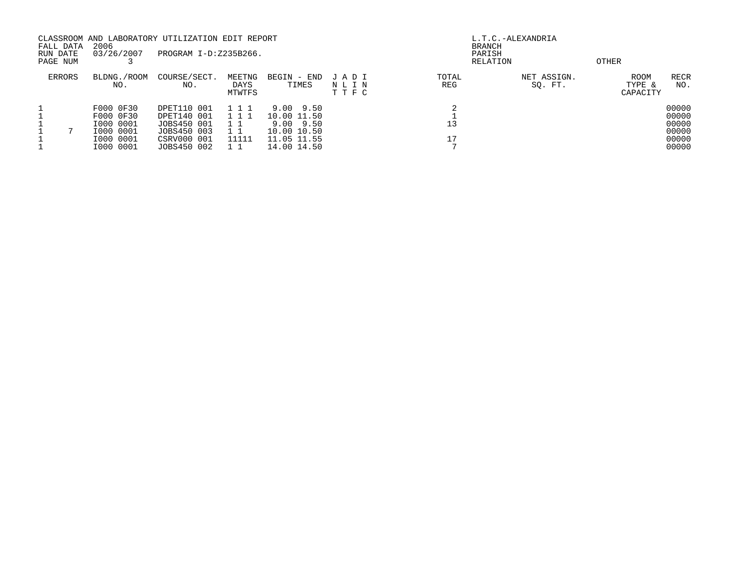| FALL DATA<br>RUN DATE | 2006<br>03/26/2007                               | CLASSROOM AND LABORATORY UTILIZATION EDIT REPORT<br>PROGRAM I-D:Z235B266. |                             |                                                      |                         |              | L.T.C.-ALEXANDRIA<br>BRANCH<br>PARISH |                                   |                                  |
|-----------------------|--------------------------------------------------|---------------------------------------------------------------------------|-----------------------------|------------------------------------------------------|-------------------------|--------------|---------------------------------------|-----------------------------------|----------------------------------|
| PAGE NUM              |                                                  |                                                                           |                             |                                                      |                         |              | RELATION                              | OTHER                             |                                  |
| <b>ERRORS</b>         | BLDNG./ROOM<br>NO.                               | COURSE/SECT.<br>NO.                                                       | MEETNG<br>DAYS<br>MTWTFS    | BEGIN - END<br>TIMES                                 | JADI<br>NLIN<br>T T F C | TOTAL<br>REG | NET ASSIGN.<br>SQ. FT.                | <b>ROOM</b><br>TYPE &<br>CAPACITY | RECR<br>NO.                      |
|                       | F000 0F30<br>F000 0F30<br>I000 0001<br>I000 0001 | DPET110 001<br>DPET140 001<br>JOBS450 001<br>JOBS450 003                  | 111<br>1 1 1<br>$1 \quad 1$ | 9.00 9.50<br>10.00 11.50<br>9.00 9.50<br>10.00 10.50 |                         | 13           |                                       |                                   | 00000<br>00000<br>00000<br>00000 |
|                       | I000 0001<br>I000 0001                           | CSRV000 001<br>JOBS450 002                                                | 11111                       | 11.05 11.55<br>14.00 14.50                           |                         |              |                                       |                                   | 00000<br>00000                   |